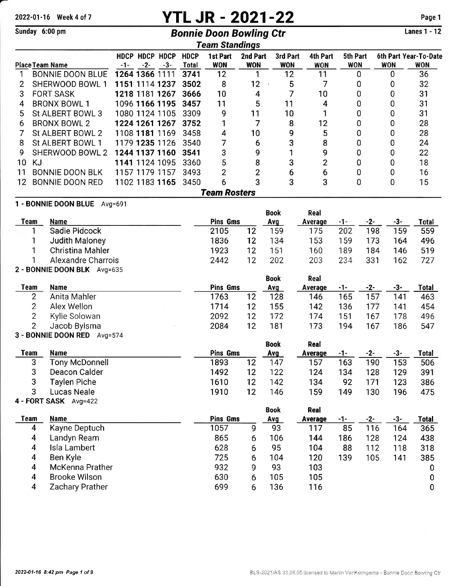# 2022-01-16 Week 4 of 7 **YTL JR - 2021-22** Page 1

## Sunday 6:00 pm **Bonnie Doon Bowling Ctr**

Lanes 1 - 12

|      |                                |         |                         |       |                             | <b>Team Standings</b>  |                        |                        |                        |                        |                |                                     |
|------|--------------------------------|---------|-------------------------|-------|-----------------------------|------------------------|------------------------|------------------------|------------------------|------------------------|----------------|-------------------------------------|
|      | <b>Place Team Name</b>         | -1-     | HDCP HDCP HDCP<br>$-2-$ | $-3-$ | <b>HDCP</b><br><b>Total</b> | 1st Part<br><b>WON</b> | 2nd Part<br><b>WON</b> | 3rd Part<br><b>WON</b> | 4th Part<br><b>WON</b> | 5th Part<br><b>WON</b> | <b>WON</b>     | 6th Part Year-To-Date<br><b>WON</b> |
|      | <b>BONNIE DOON BLUE</b>        |         | 1264 1366 1111          |       | 3741                        | 12                     | 1                      | 12                     | 11                     | 0                      | $\mathbf 0$    | 36                                  |
| 2    | SHERWOOD BOWL 1                |         | 1151 1114 1237          |       | 3502                        | 8                      | 12                     | 5                      | 7                      | 0                      | 0              | 32                                  |
| 3    | <b>FORT SASK</b>               |         | 1218 1181 1267          |       | 3666                        | 10                     | 4                      | 7                      | 10                     | 0                      | 0              | 31                                  |
| 4    | <b>BRONX BOWL 1</b>            |         | 1096 1166 1195          |       | 3457                        | 11                     | 5                      | 11                     | 4                      | 0                      | 0              | 31                                  |
| 5    | St ALBERT BOWL 3               |         | 1080 1124 1105          |       | 3309                        | 9                      | 11                     | 10                     | 1                      | 0                      | 0              | 31                                  |
| 6    | <b>BRONX BOWL 2</b>            |         | 1224 1261 1267          |       | 3752                        | 1                      | 7                      | 8                      | 12                     | 0                      | 0              | 28                                  |
|      | St ALBERT BOWL 2               |         | 1108 1181 1169          |       | 3458                        | 4                      | 10                     | 9                      | 5                      | 0                      | 0              | 28                                  |
| 8    | St ALBERT BOWL 1               |         | 1179 1235 1126          |       | 3540                        | 7                      | 6                      | 3                      | 8                      | 0                      | 0              | 24                                  |
| 9    | SHERWOOD BOWL 2                |         | 1244 1137 1160          |       | 3541                        | 3                      | 9                      | 1                      | 9                      | 0                      | 0              | 22                                  |
| 10   | <b>KJ</b>                      |         | 1141 1124 1095          |       | 3360                        | 5                      | 8                      | 3                      | $\overline{2}$         | 0                      | 0              | 18                                  |
| 11   | <b>BONNIE DOON BLK</b>         |         | 1157 1179 1157          |       | 3493                        | $\overline{2}$         | $\overline{c}$         | 6                      | 6                      | 0                      | 0              | 16                                  |
| 12   | <b>BONNIE DOON RED</b>         |         | 1102 1183 1165          |       | 3450                        | 6                      | 3                      | 3                      | 3                      | 0                      | 0              | 15                                  |
|      | <b>Team Rosters</b>            |         |                         |       |                             |                        |                        |                        |                        |                        |                |                                     |
|      | 1 - BONNIE DOON BLUE           | Avg=691 |                         |       |                             |                        |                        |                        |                        |                        |                |                                     |
|      |                                |         |                         |       |                             |                        |                        | <b>Book</b>            | Real                   |                        |                |                                     |
| Team | <b>Name</b>                    |         |                         |       |                             | <b>Pins Gms</b>        |                        | Avg                    | Average                | $-1 -$                 | $-3-$<br>$-2-$ | Total                               |
|      | Sadie Pidcock<br>1             |         |                         |       |                             | 2105                   | 12                     | 159                    | 175                    | 202                    | 198            | 159<br>559                          |
|      | Judith Maloney                 |         |                         |       |                             | 1836                   | 12                     | 134                    | 153                    | 159                    | 173            | 496<br>164                          |
|      | <b>Christina Mahler</b>        |         |                         |       |                             | 1923                   | 12                     | 151                    | 160                    | 189                    | 184            | 519<br>146                          |
|      | Alexandre Charrois             |         |                         |       |                             | 2442                   | 12                     | 202                    | 203                    | 234                    | 331            | 162<br>727                          |
|      | 2 - BONNIE DOON BLK Avg=635    |         |                         |       |                             |                        |                        |                        |                        |                        |                |                                     |
|      |                                |         |                         |       |                             |                        |                        | <b>Book</b>            | Real                   |                        |                |                                     |
| Team | <b>Name</b>                    |         |                         |       |                             | <b>Pins Gms</b>        |                        | Avq                    | Average                | $-1-$                  | $-2-$<br>$-3-$ | <b>Total</b>                        |
|      | $\mathbf{2}$<br>Anita Mahler   |         |                         |       |                             | 1763                   | 12                     | 128                    | 146                    | 165                    | 157<br>141     | 463                                 |
|      | $\overline{2}$<br>Alex Wellon  |         |                         |       |                             | 1714                   | 12                     | 155                    | 142                    | 136                    | 177<br>141     | 454                                 |
|      | 2<br>Kylie Solowan             |         |                         |       |                             | 2092                   | 12                     | 172                    | 174                    | 151                    | 167            | 496<br>178                          |
|      | $\overline{2}$<br>Jacob Bylsma |         |                         |       |                             | 2084                   | 12                     | 181                    | 173                    | 194                    | 167            | 186<br>547                          |

|      | 3 - BONNIE DOON RED Avg=574 |                 |    |             |         |     |     |     |       |  |  |  |
|------|-----------------------------|-----------------|----|-------------|---------|-----|-----|-----|-------|--|--|--|
|      |                             |                 |    | <b>Book</b> | Real    |     |     |     |       |  |  |  |
| Team | <b>Name</b>                 | <b>Pins Gms</b> |    | <u>Avg</u>  | Average | -1- | -2- | -3- | Total |  |  |  |
| 3    | Tony McDonnell              | 1893            | 12 | 147         | 157     | 163 | 190 | 153 | 506   |  |  |  |
| 3    | Deacon Calder               | 1492            | 12 | 122         | 124     | 134 | 128 | 129 | 391   |  |  |  |
|      | Taylen Piche                | 1610            | 12 | 142         | 134     | 92  | 171 | 123 | 386   |  |  |  |
| ິ    | Lucas Neale                 | 1910            | 12 | 146         | 159     | 149 | 130 | 196 | 475   |  |  |  |

|  |  |  | 4 - FORT SASK Avg=422 |
|--|--|--|-----------------------|
|--|--|--|-----------------------|

|      |                      |                 |   | Book       | Real    |     |       |     |              |
|------|----------------------|-----------------|---|------------|---------|-----|-------|-----|--------------|
| Team | <b>Name</b>          | <b>Pins Gms</b> |   | <b>Avg</b> | Average | -1- | $-2-$ | -3- | <b>Total</b> |
| 4    | Kayne Deptuch        | 1057            | 9 | 93         | 117     | 85  | 116   | 164 | 365          |
| 4    | Landyn Ream          | 865             | 6 | 106        | 144     | 186 | 128   | 124 | 438          |
| 4    | Isla Lambert         | 628             | 6 | 95         | 104     | 88  | 112   | 118 | 318          |
| 4    | Ben Kyle             | 725             | 6 | 104        | 120     | 139 | 105   | 141 | 385          |
| 4    | McKenna Prather      | 932             | 9 | 93         | 103     |     |       |     | 0            |
| 4    | <b>Brooke Wilson</b> | 630             | 6 | 105        | 105     |     |       |     | 0            |
| 4    | Zachary Prather      | 699             | 6 | 136        | 116     |     |       |     | 0            |
|      |                      |                 |   |            |         |     |       |     |              |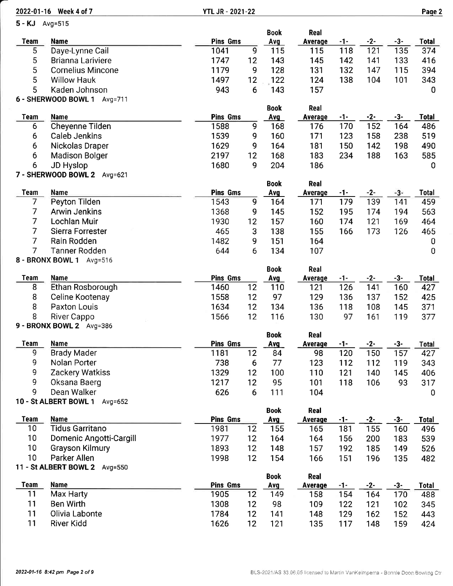| 2022-01-16 Week 4 of 7 |                                                 | <b>YTL JR - 2021-22</b> |                 |                    |                 |       |       |       | Page 2       |
|------------------------|-------------------------------------------------|-------------------------|-----------------|--------------------|-----------------|-------|-------|-------|--------------|
| 5 - KJ Avg=515         |                                                 |                         |                 |                    |                 |       |       |       |              |
|                        |                                                 |                         |                 | <b>Book</b>        | Real            |       |       |       |              |
| <b>Team</b>            | <b>Name</b>                                     | <b>Pins Gms</b>         |                 | Avg                | Average         | -1-   | $-2-$ | $-3-$ | <b>Total</b> |
| 5                      | Daye-Lynne Cail                                 | 1041                    | 9               | 115                | 115             | 118   | 121   | 135   | 374          |
| 5                      | Brianna Lariviere                               | 1747                    | 12              | 143                | 145             | 142   | 141   | 133   | 416          |
| 5                      | <b>Cornelius Mincone</b>                        | 1179                    | 9               | 128                | 131             | 132   | 147   | 115   | 394          |
| 5                      | <b>Willow Hauk</b>                              | 1497                    | 12              | 122                | 124             | 138   | 104   | 101   | 343          |
| 5                      | Kaden Johnson                                   | 943                     | 6               | 143                | 157             |       |       |       | 0            |
|                        | 6 - SHERWOOD BOWL 1 Avg=711                     |                         |                 |                    |                 |       |       |       |              |
| <b>Team</b>            | <b>Name</b>                                     | <b>Pins Gms</b>         |                 | <b>Book</b><br>Avg | Real<br>Average | $-1-$ | $-2-$ | $-3-$ | Total        |
| 6                      | <b>Cheyenne Tilden</b>                          | 1588                    | 9               | 168                | 176             | 170   | 152   | 164   | 486          |
| 6                      | Caleb Jenkins                                   | 1539                    | 9               | 160                | 171             | 123   | 158   | 238   | 519          |
| 6                      | Nickolas Draper                                 | 1629                    | 9               | 164                | 181             | 150   | 142   | 198   | 490          |
| 6                      | <b>Madison Bolger</b>                           | 2197                    | 12              | 168                | 183             | 234   | 188   | 163   | 585          |
| 6                      |                                                 | 1680                    | 9               | 204                | 186             |       |       |       | 0            |
|                        | <b>JD Hyslop</b><br>7 - SHERWOOD BOWL 2 Avg=621 |                         |                 |                    |                 |       |       |       |              |
|                        |                                                 |                         |                 | <b>Book</b>        | Real            |       |       |       |              |
| Team                   | Name                                            | <b>Pins Gms</b>         |                 | Avg                | Average         | -1-   | $-2-$ | $-3-$ | Total        |
| $\overline{7}$         | Peyton Tilden                                   | 1543                    | 9               | 164                | 171             | 179   | 139   | 141   | 459          |
| $\overline{7}$         | <b>Arwin Jenkins</b>                            | 1368                    | 9               | 145                | 152             | 195   | 174   | 194   | 563          |
| $\overline{7}$         | Lochlan Muir                                    | 1930                    | 12              | 157                | 160             | 174   | 121   | 169   | 464          |
| $\overline{7}$         | Sierra Forrester                                | 465                     | 3               | 138                | 155             | 166   | 173   | 126   | 465          |
| $\overline{7}$         | Rain Rodden                                     | 1482                    | 9               | 151                | 164             |       |       |       | 0            |
| 7                      | <b>Tanner Rodden</b>                            | 644                     | 6               | 134                | 107             |       |       |       | $\bf{0}$     |
|                        | 8 - BRONX BOWL 1 Avg=516                        |                         |                 |                    |                 |       |       |       |              |
|                        |                                                 |                         |                 | <b>Book</b>        | Real            |       |       |       |              |
| <b>Team</b>            | <b>Name</b>                                     | <b>Pins Gms</b>         |                 | <b>Avg</b>         | <b>Average</b>  | $-1-$ | $-2-$ | $-3-$ | <b>Total</b> |
| 8                      | Ethan Rosborough                                | 1460                    | 12              | 110                | 121             | 126   | 141   | 160   | 427          |
| 8                      | Celine Kootenay                                 | 1558                    | 12              | 97                 | 129             | 136   | 137   | 152   | 425          |
| 8                      | Paxton Louis                                    | 1634                    | 12              | 134                | 136             | 118   | 108   | 145   | 371          |
| 8                      | River Cappo                                     | 1566                    | 12              | 116                | 130             | 97    | 161   | 119   | 377          |
|                        | 9 - BRONX BOWL 2 Avg=386                        |                         |                 |                    |                 |       |       |       |              |
|                        |                                                 |                         |                 | <b>Book</b>        | Real            |       |       |       |              |
| <b>Team</b>            | <b>Name</b>                                     | Pins Gms                |                 | <b>Avg</b>         | <b>Average</b>  | $-1-$ | $-2-$ | $-3-$ | Total        |
| 9                      | <b>Brady Mader</b>                              | 1181                    | 12              | 84                 | 98              | 120   | 150   | 157   | 427          |
| 9                      | Nolan Porter                                    | 738                     | 6               | 77                 | 123             | 112   | 112   | 119   | 343          |
| 9                      | <b>Zackery Watkiss</b>                          | 1329                    | 12              | 100                | 110             | 121   | 140   | 145   | 406          |
| 9                      | Oksana Baerg                                    | 1217                    | 12              | 95                 | 101             | 118   | 106   | 93    | 317          |
| 9                      | Dean Walker                                     | 626                     | $6\phantom{1}6$ | 111                | 104             |       |       |       | 0            |
|                        | 10 - St ALBERT BOWL 1<br>Avg=652                |                         |                 |                    |                 |       |       |       |              |
|                        |                                                 |                         |                 | <b>Book</b>        | Real            |       |       |       |              |
| <b>Team</b>            | <b>Name</b>                                     | <b>Pins Gms</b>         |                 | Avg                | <b>Average</b>  | -1-   | $-2-$ | $-3-$ | <b>Total</b> |
| 10                     | <b>Tidus Garritano</b>                          | 1981                    | 12              | 155                | 165             | 181   | 155   | 160   | 496          |
| 10                     | Domenic Angotti-Cargill                         | 1977                    | 12              | 164                | 164             | 156   | 200   | 183   | 539          |
| 10                     | <b>Grayson Kilmury</b>                          | 1893                    | 12              | 148                | 157             | 192   | 185   | 149   | 526          |
| 10                     | Parker Allen                                    | 1998                    | 12              | 154                | 166             | 151   | 196   | 135   | 482          |
|                        | 11 - St ALBERT BOWL 2 Avg=550                   |                         |                 |                    |                 |       |       |       |              |
|                        |                                                 |                         |                 | <b>Book</b>        | Real            |       |       |       |              |
| <b>Team</b>            | <b>Name</b>                                     | <b>Pins Gms</b>         |                 | Avg                | <b>Average</b>  | $-1-$ | $-2-$ | $-3-$ | <b>Total</b> |
| 11                     | Max Harty                                       | 1905                    | 12              | 149                | 158             | 154   | 164   | 170   | 488          |
| 11                     | <b>Ben Wirth</b>                                | 1308                    | 12              | 98                 | 109             | 122   | 121   | 102   | 345          |
| 11                     | Olivia Labonte                                  | 1784                    | 12              | 141                | 148             | 129   | 162   | 152   | 443          |
| 11                     | River Kidd                                      | 1626                    | 12              | 121                | 135             | 117   | 148   | 159   | 424          |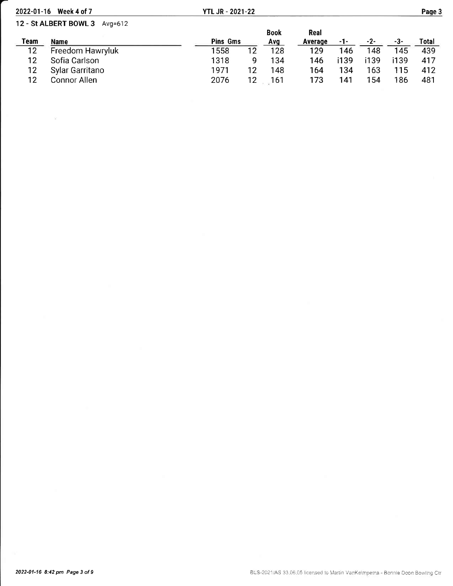| 2022-01-16 | Week 4 of 7                   | <b>YTL JR - 2021-22</b> |    |             |         |      |      |      | Page 3 |
|------------|-------------------------------|-------------------------|----|-------------|---------|------|------|------|--------|
|            | 12 - St ALBERT BOWL 3 Avg=612 |                         |    |             |         |      |      |      |        |
|            |                               |                         |    | <b>Book</b> | Real    |      |      |      |        |
| Team       | Name                          | <b>Pins Gms</b>         |    | Avq         | Average | -1-  | -2-  | -3-  | Total  |
| 12         | Freedom Hawryluk              | 1558                    | 12 | 128         | 129     | 146  | 148  | 145  | 439    |
| 12         | Sofia Carlson                 | 1318                    | g  | 134         | 146     | i139 | i139 | i139 | 417    |
| 12         | Sylar Garritano               | 1971                    | 12 | 148         | 164     | 134  | 163  | 115  | 412    |
| 12         | <b>Connor Allen</b>           | 2076                    |    | 161         | 173     | 141  | 154  | 186  | 481    |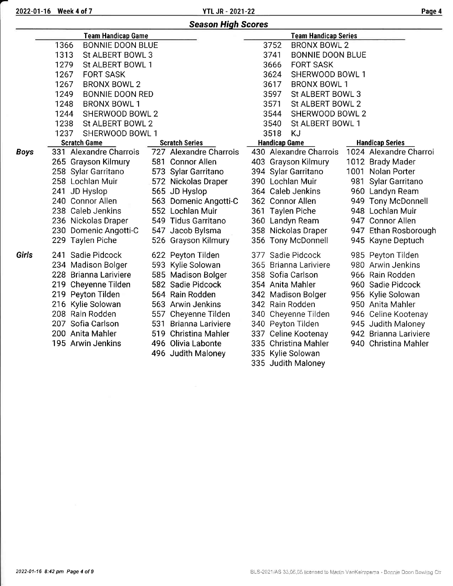2022-01-16 Week 4 of 7 YTL JR - 2021-22 Paqe 4

# Season Hiqh Scores

|             | <b>Team Handicap Game</b>       |                        |                      | <b>Team Handicap Series</b> |                        |
|-------------|---------------------------------|------------------------|----------------------|-----------------------------|------------------------|
|             | 1366<br><b>BONNIE DOON BLUE</b> |                        | 3752                 | <b>BRONX BOWL 2</b>         |                        |
|             | 1313<br>St ALBERT BOWL 3        |                        | 3741                 | <b>BONNIE DOON BLUE</b>     |                        |
|             | 1279<br>St ALBERT BOWL 1        |                        | 3666                 | <b>FORT SASK</b>            |                        |
|             | 1267<br><b>FORT SASK</b>        |                        | 3624                 | SHERWOOD BOWL 1             |                        |
|             | 1267<br><b>BRONX BOWL 2</b>     |                        | 3617                 | <b>BRONX BOWL 1</b>         |                        |
|             | 1249<br><b>BONNIE DOON RED</b>  |                        | 3597                 | St ALBERT BOWL 3            |                        |
|             | 1248<br><b>BRONX BOWL 1</b>     |                        | 3571                 | St ALBERT BOWL 2            |                        |
|             | 1244<br>SHERWOOD BOWL 2         |                        | 3544                 | SHERWOOD BOWL 2             |                        |
|             | 1238<br>St ALBERT BOWL 2        |                        | 3540                 | St ALBERT BOWL 1            |                        |
|             | 1237<br>SHERWOOD BOWL 1         |                        | 3518                 | KJ                          |                        |
|             | <b>Scratch Game</b>             | <b>Scratch Series</b>  | <b>Handicap Game</b> |                             | <b>Handicap Series</b> |
| <b>Boys</b> | 331 Alexandre Charrois          | 727 Alexandre Charrois |                      | 430 Alexandre Charrois      | 1024 Alexandre Charroi |
|             | 265 Grayson Kilmury             | 581 Connor Allen       |                      | 403 Grayson Kilmury         | 1012 Brady Mader       |
|             | 258 Sylar Garritano             | 573 Sylar Garritano    |                      | 394 Sylar Garritano         | 1001 Nolan Porter      |
|             | 258 Lochlan Muir                | 572 Nickolas Draper    |                      | 390 Lochlan Muir            | 981 Sylar Garritano    |
|             | 241 JD Hyslop                   | 565 JD Hyslop          |                      | 364 Caleb Jenkins           | 960 Landyn Ream        |
|             | 240 Connor Allen                | 563 Domenic Angotti-C  |                      | 362 Connor Allen            | 949 Tony McDonnell     |
|             | 238 Caleb Jenkins               | 552 Lochlan Muir       |                      | 361 Taylen Piche            | 948 Lochlan Muir       |
|             | 236 Nickolas Draper             | 549 Tidus Garritano    |                      | 360 Landyn Ream             | 947 Connor Allen       |
|             | 230 Domenic Angotti-C           | 547 Jacob Bylsma       |                      | 358 Nickolas Draper         | 947 Ethan Rosborough   |
|             | 229 Taylen Piche                | 526 Grayson Kilmury    |                      | 356 Tony McDonnell          | 945 Kayne Deptuch      |
| Girls       | 241 Sadie Pidcock               | 622 Peyton Tilden      |                      | 377 Sadie Pidcock           | 985 Peyton Tilden      |
|             | 234 Madison Bolger              | 593 Kylie Solowan      |                      | 365 Brianna Lariviere       | 980 Arwin Jenkins      |
|             | 228 Brianna Lariviere           | 585 Madison Bolger     |                      | 358 Sofia Carlson           | 966 Rain Rodden        |
|             | 219 Cheyenne Tilden             | 582 Sadie Pidcock      |                      | 354 Anita Mahler            | 960 Sadie Pidcock      |
|             | 219 Peyton Tilden               | 564 Rain Rodden        |                      | 342 Madison Bolger          | 956 Kylie Solowan      |
|             | 216 Kylie Solowan               | 563 Arwin Jenkins      |                      | 342 Rain Rodden             | 950 Anita Mahler       |
|             | 208 Rain Rodden                 | 557 Cheyenne Tilden    |                      | 340 Cheyenne Tilden         | 946 Celine Kootenay    |
|             | 207 Sofia Carlson               | 531 Brianna Lariviere  |                      | 340 Peyton Tilden           | 945 Judith Maloney     |
|             | 200 Anita Mahler                | 519 Christina Mahler   |                      | 337 Celine Kootenay         | 942 Brianna Lariviere  |
|             | 195 Arwin Jenkins               | 496 Olivia Labonte     |                      | 335 Christina Mahler        | 940 Christina Mahler   |
|             |                                 | 496 Judith Maloney     |                      | 335 Kylie Solowan           |                        |
|             |                                 |                        |                      | 335 Judith Maloney          |                        |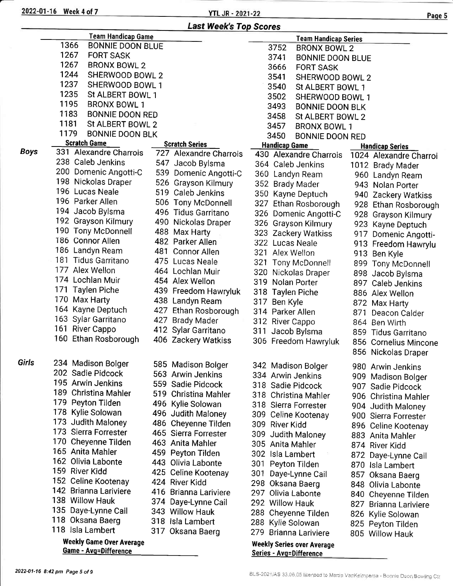2022-01-16 Week 4 of 7

**YTL JR - 2021-22** 

|             | <b>Last Week's Top Scores</b>                            |  |                        |                                                                     |  |  |  |  |  |
|-------------|----------------------------------------------------------|--|------------------------|---------------------------------------------------------------------|--|--|--|--|--|
|             | <b>Team Handicap Game</b>                                |  |                        | <b>Team Handicap Series</b>                                         |  |  |  |  |  |
|             | 1366<br><b>BONNIE DOON BLUE</b>                          |  |                        | 3752<br><b>BRONX BOWL 2</b>                                         |  |  |  |  |  |
|             | 1267<br><b>FORT SASK</b>                                 |  |                        | 3741<br><b>BONNIE DOON BLUE</b>                                     |  |  |  |  |  |
|             | 1267<br><b>BRONX BOWL 2</b>                              |  |                        | 3666<br><b>FORT SASK</b>                                            |  |  |  |  |  |
|             | 1244<br>SHERWOOD BOWL 2                                  |  |                        | 3541<br>SHERWOOD BOWL 2                                             |  |  |  |  |  |
|             | 1237<br>SHERWOOD BOWL 1                                  |  |                        | 3540<br>St ALBERT BOWL 1                                            |  |  |  |  |  |
|             | 1235<br>St ALBERT BOWL 1                                 |  |                        | 3502<br>SHERWOOD BOWL 1                                             |  |  |  |  |  |
|             | 1195<br><b>BRONX BOWL 1</b>                              |  |                        | 3493<br><b>BONNIE DOON BLK</b>                                      |  |  |  |  |  |
|             | 1183<br><b>BONNIE DOON RED</b>                           |  |                        | 3458<br>St ALBERT BOWL 2                                            |  |  |  |  |  |
|             | 1181<br>St ALBERT BOWL 2                                 |  |                        | 3457<br><b>BRONX BOWL 1</b>                                         |  |  |  |  |  |
|             | 1179<br><b>BONNIE DOON BLK</b>                           |  |                        | 3450<br><b>BONNIE DOON RED</b>                                      |  |  |  |  |  |
|             | <b>Scratch Game</b>                                      |  | <b>Scratch Series</b>  | <b>Handicap Game</b><br><b>Handicap Series</b>                      |  |  |  |  |  |
| <b>Boys</b> | 331 Alexandre Charrois                                   |  | 727 Alexandre Charrois | 430 Alexandre Charrois<br>1024 Alexandre Charroi                    |  |  |  |  |  |
|             | 238 Caleb Jenkins                                        |  | 547 Jacob Bylsma       | 364 Caleb Jenkins<br>1012 Brady Mader                               |  |  |  |  |  |
|             | 200 Domenic Angotti-C                                    |  | 539 Domenic Angotti-C  | 360 Landyn Ream<br>960 Landyn Ream                                  |  |  |  |  |  |
|             | 198 Nickolas Draper                                      |  | 526 Grayson Kilmury    | 352 Brady Mader<br>943 Nolan Porter                                 |  |  |  |  |  |
|             | 196 Lucas Neale                                          |  | 519 Caleb Jenkins      | 350 Kayne Deptuch<br>940 Zackery Watkiss                            |  |  |  |  |  |
|             | 196 Parker Allen                                         |  | 506 Tony McDonnell     | 327 Ethan Rosborough<br>928 Ethan Rosborough                        |  |  |  |  |  |
|             | 194 Jacob Bylsma                                         |  | 496 Tidus Garritano    | 326 Domenic Angotti-C<br>928 Grayson Kilmury                        |  |  |  |  |  |
|             | 192 Grayson Kilmury                                      |  | 490 Nickolas Draper    | 326 Grayson Kilmury<br>923 Kayne Deptuch                            |  |  |  |  |  |
|             | 190 Tony McDonnell                                       |  | 488 Max Harty          | 323 Zackery Watkiss<br>917 Domenic Angotti-                         |  |  |  |  |  |
|             | 186 Connor Allen                                         |  | 482 Parker Allen       | 322 Lucas Neale<br>913 Freedom Hawrylu                              |  |  |  |  |  |
|             | 186 Landyn Ream                                          |  | 481 Connor Allen       | 321 Alex Wellon<br>913 Ben Kyle                                     |  |  |  |  |  |
|             | 181 Tidus Garritano                                      |  | 475 Lucas Neale        | 321 Tony McDonnell<br>899 Tony McDonnell                            |  |  |  |  |  |
|             | 177 Alex Wellon                                          |  | 464 Lochlan Muir       | 320 Nickolas Draper<br>898 Jacob Bylsma                             |  |  |  |  |  |
|             | 174 Lochlan Muir                                         |  | 454 Alex Wellon        | 319 Nolan Porter<br>897 Caleb Jenkins                               |  |  |  |  |  |
|             | 171 Taylen Piche                                         |  | 439 Freedom Hawryluk   | 318 Taylen Piche<br>886 Alex Wellon                                 |  |  |  |  |  |
|             | 170 Max Harty                                            |  | 438 Landyn Ream        | 317 Ben Kyle<br>872 Max Harty                                       |  |  |  |  |  |
|             | 164 Kayne Deptuch                                        |  | 427 Ethan Rosborough   | 314 Parker Allen<br>871<br>Deacon Calder                            |  |  |  |  |  |
|             | 163 Sylar Garritano                                      |  | 427 Brady Mader        | 312 River Cappo<br>864 Ben Wirth                                    |  |  |  |  |  |
|             | 161 River Cappo                                          |  | 412 Sylar Garritano    | 311 Jacob Bylsma<br>859 Tidus Garritano                             |  |  |  |  |  |
|             | 160 Ethan Rosborough                                     |  | 406 Zackery Watkiss    | 306 Freedom Hawryluk<br>856 Cornelius Mincone                       |  |  |  |  |  |
|             |                                                          |  |                        | 856 Nickolas Draper                                                 |  |  |  |  |  |
| Girls       | 234 Madison Bolger                                       |  | 585 Madison Bolger     | 342 Madison Bolger<br>980 Arwin Jenkins                             |  |  |  |  |  |
|             | 202 Sadie Pidcock                                        |  | 563 Arwin Jenkins      | 334 Arwin Jenkins<br>909 Madison Bolger                             |  |  |  |  |  |
|             | 195 Arwin Jenkins                                        |  | 559 Sadie Pidcock      | 318 Sadie Pidcock<br>907 Sadie Pidcock                              |  |  |  |  |  |
|             | 189 Christina Mahler                                     |  | 519 Christina Mahler   | 318 Christina Mahler<br>906 Christina Mahler                        |  |  |  |  |  |
|             | 179 Peyton Tilden                                        |  | 496 Kylie Solowan      | 318 Sierra Forrester<br>904 Judith Maloney                          |  |  |  |  |  |
|             | 178 Kylie Solowan                                        |  | 496 Judith Maloney     | 309 Celine Kootenay<br>900 Sierra Forrester                         |  |  |  |  |  |
|             | 173 Judith Maloney                                       |  | 486 Cheyenne Tilden    | 309 River Kidd<br>896 Celine Kootenay                               |  |  |  |  |  |
|             | 173 Sierra Forrester                                     |  | 465 Sierra Forrester   | 309 Judith Maloney<br>883 Anita Mahler                              |  |  |  |  |  |
|             | 170 Cheyenne Tilden                                      |  | 463 Anita Mahler       | 305 Anita Mahler<br>874 River Kidd                                  |  |  |  |  |  |
|             | 165 Anita Mahler                                         |  | 459 Peyton Tilden      | 302 Isla Lambert<br>872 Daye-Lynne Cail                             |  |  |  |  |  |
|             | 162 Olivia Labonte                                       |  | 443 Olivia Labonte     | 301 Peyton Tilden<br>870 Isla Lambert                               |  |  |  |  |  |
|             | 159 River Kidd                                           |  | 425 Celine Kootenay    | 301 Daye-Lynne Cail<br>857 Oksana Baerg                             |  |  |  |  |  |
|             | 152 Celine Kootenay                                      |  | 424 River Kidd         | 298 Oksana Baerg<br>848 Olivia Labonte                              |  |  |  |  |  |
|             | 142 Brianna Lariviere                                    |  | 416 Brianna Lariviere  | 297 Olivia Labonte<br>840 Cheyenne Tilden                           |  |  |  |  |  |
|             | 138 Willow Hauk                                          |  | 374 Daye-Lynne Cail    | 292 Willow Hauk<br>827 Brianna Lariviere                            |  |  |  |  |  |
|             | 135 Daye-Lynne Cail                                      |  | 343 Willow Hauk        | 288 Cheyenne Tilden<br>826 Kylie Solowan                            |  |  |  |  |  |
|             | 118 Oksana Baerg                                         |  | 318 Isla Lambert       | 288 Kylie Solowan<br>825 Peyton Tilden                              |  |  |  |  |  |
|             | 118 Isla Lambert                                         |  | 317 Oksana Baerg       | 279 Brianna Lariviere<br>805 Willow Hauk                            |  |  |  |  |  |
|             | <b>Weekly Game Over Average</b><br>Game - Avg=Difference |  |                        | <b>Weekly Series over Average</b><br><b>Series - Avg=Difference</b> |  |  |  |  |  |

<u>Series - Avg=Difference</u>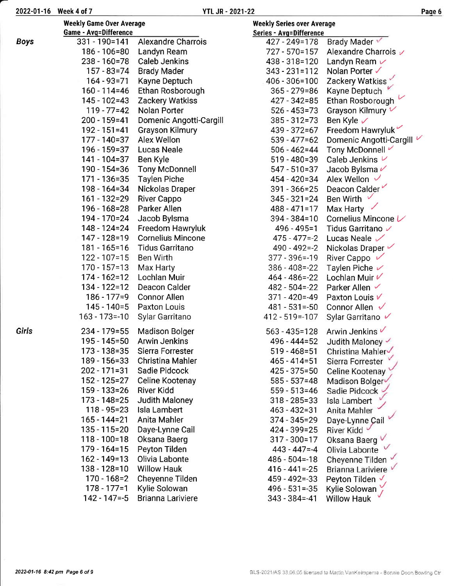|--|--|

|             | <b>Weekly Game Over Average</b><br><b>Game - Avg=Difference</b> |                           | <b>Weekly Series over Average</b><br>Series - Avg=Difference |                           |  |  |
|-------------|-----------------------------------------------------------------|---------------------------|--------------------------------------------------------------|---------------------------|--|--|
| <b>Boys</b> | $331 - 190 = 141$                                               | <b>Alexandre Charrois</b> | 427 - 249=178                                                | Brady Mader               |  |  |
|             | 186 - 106=80                                                    | Landyn Ream               | 727 - 570=157                                                | Alexandre Charrois ✓      |  |  |
|             | 238 - 160 = 78                                                  | <b>Caleb Jenkins</b>      | 438 - 318 = 120                                              | Landyn Ream $\nu$         |  |  |
|             | 157 - 83=74                                                     | <b>Brady Mader</b>        | $343 - 231 = 112$                                            | Nolan Porter ✓            |  |  |
|             | $164 - 93 = 71$                                                 | Kayne Deptuch             | $406 - 306 = 100$                                            | Zackery Watkiss           |  |  |
|             | 160 - 114=46                                                    | Ethan Rosborough          | $365 - 279 = 86$                                             | Kayne Deptuch             |  |  |
|             | $145 - 102 = 43$                                                | Zackery Watkiss           | 427 - 342=85                                                 | Ethan Rosborough          |  |  |
|             | $119 - 77 = 42$                                                 | Nolan Porter              | $526 - 453 = 73$                                             | Grayson Kilmury V         |  |  |
|             | 200 - 159=41                                                    | Domenic Angotti-Cargill   | $385 - 312 = 73$                                             | Ben Kyle $\checkmark$     |  |  |
|             | $192 - 151 = 41$                                                | <b>Grayson Kilmury</b>    | 439 - 372=67                                                 | Freedom Hawryluk          |  |  |
|             | 177 - 140=37                                                    | Alex Wellon               | $539 - 477 = 62$                                             | Domenic Angotti-Cargill V |  |  |
|             | $196 - 159 = 37$                                                | <b>Lucas Neale</b>        | $506 - 462 = 44$                                             | Tony McDonnell √          |  |  |
|             | $141 - 104 = 37$                                                | Ben Kyle                  | $519 - 480 = 39$                                             | Caleb Jenkins $\nu$       |  |  |
|             | 190 - 154=36                                                    | <b>Tony McDonnell</b>     | $547 - 510 = 37$                                             | Jacob Bylsma $\nu$        |  |  |
|             | 171 - 136=35                                                    | <b>Taylen Piche</b>       | 454 - 420=34                                                 | Alex Wellon $\vee$        |  |  |
|             | 198 - 164=34                                                    | Nickolas Draper           | $391 - 366 = 25$                                             | Deacon Calder             |  |  |
|             | $161 - 132 = 29$                                                | <b>River Cappo</b>        | $345 - 321 = 24$                                             | Ben Wirth $\vee$          |  |  |
|             | 196 - 168 = 28                                                  | Parker Allen              | $488 - 471 = 17$                                             | Max Harty                 |  |  |
|             | 194 - 170 = 24                                                  | Jacob Bylsma              | $394 - 384 = 10$                                             | Cornelius Mincone V       |  |  |
|             | 148 - 124 = 24                                                  | Freedom Hawryluk          | 496 - 495 = 1                                                | Tidus Garritano √         |  |  |
|             | 147 - 128 = 19                                                  | <b>Corneliu's Mincone</b> | $475 - 477 = -2$                                             | Lucas Neale $\sqrt{}$     |  |  |
|             | $181 - 165 = 16$                                                | <b>Tidus Garritano</b>    | $490 - 492 = -2$                                             | Nickolas Draper           |  |  |
|             | $122 - 107 = 15$                                                | Ben Wirth                 | $377 - 396 = -19$                                            | River Cappo $\sqrt{}$     |  |  |
|             | $170 - 157 = 13$                                                | Max Harty                 | $386 - 408 = -22$                                            | Taylen Piche $\nu$        |  |  |
|             | $174 - 162 = 12$                                                | Lochlan Muir              | $464 - 486 = -22$                                            | Lochlan Muir $V$          |  |  |
|             | $134 - 122 = 12$                                                | Deacon Calder             | $482 - 504 = -22$                                            | Parker Allen $\checkmark$ |  |  |
|             | $186 - 177 = 9$                                                 | <b>Connor Allen</b>       | $371 - 420 = -49$                                            | Paxton Louis V            |  |  |
|             | $145 - 140 = 5$                                                 | Paxton Louis              | $481 - 531 = -50$                                            | Connor Allen $\sqrt{}$    |  |  |
|             | 163 - 173 = - 10                                                | Sylar Garritano           | 412 - 519 = - 107                                            | Sylar Garritano ✔         |  |  |
| Girls       | 234 - 179 = 55                                                  | <b>Madison Bolger</b>     | $563 - 435 = 128$                                            | Arwin Jenkins V           |  |  |
|             | 195 - 145 = 50                                                  | <b>Arwin Jenkins</b>      | 496 - 444 = 52                                               | Judith Maloney            |  |  |
|             | 173 - 138 = 35                                                  | Sierra Forrester          | $519 - 468 = 51$                                             | Christina Mahler          |  |  |
|             | 189 - 156 = 33                                                  | <b>Christina Mahler</b>   | $465 - 414 = 51$                                             | Sierra Forrester          |  |  |
|             | $202 - 171 = 31$                                                | Sadie Pidcock             | $425 - 375 = 50$                                             | Celine Kootenay           |  |  |
|             | 152 - 125 = 27                                                  | Celine Kootenay           | $585 - 537 = 48$                                             | Madison Bolger            |  |  |
|             | $159 - 133 = 26$                                                | River Kidd                | $559 - 513 = 46$                                             | Sadie Pidcock             |  |  |
|             | $173 - 148 = 25$                                                | Judith Maloney            | $318 - 285 = 33$                                             | Isla Lambert              |  |  |
|             | $118 - 95 = 23$                                                 | Isla Lambert              | $463 - 432 = 31$                                             | Anita Mahler              |  |  |
|             | 165 - 144 = 21                                                  | Anita Mahler              | 374 - 345 = 29                                               | Daye-Lynne Cail           |  |  |
|             | 135 - 115 = 20                                                  | Daye-Lynne Cail           | 424 - 399 = 25                                               | River Kidd                |  |  |
|             | $118 - 100 = 18$                                                | Oksana Baerg              | $317 - 300 = 17$                                             | Oksana Baerg              |  |  |
|             | 179 - 164=15                                                    | Peyton Tilden             | $443 - 447 = -4$                                             | Olivia Labonte            |  |  |
|             | $162 - 149 = 13$                                                | Olivia Labonte            | $486 - 504 = -18$                                            | Cheyenne Tilden           |  |  |
|             | 138 - 128=10                                                    | <b>Willow Hauk</b>        | $416 - 441 = -25$                                            | Brianna Lariviere         |  |  |
|             | $170 - 168 = 2$                                                 | Cheyenne Tilden           | $459 - 492 = -33$                                            | Peyton Tilden $\sqrt{ }$  |  |  |
|             | $178 - 177 = 1$                                                 | Kylie Solowan             | $496 - 531 = -35$                                            | Kylie Solowan             |  |  |
|             | $142 - 147 = -5$                                                | <b>Brianna Lariviere</b>  | $343 - 384 = -41$                                            | <b>Willow Hauk</b>        |  |  |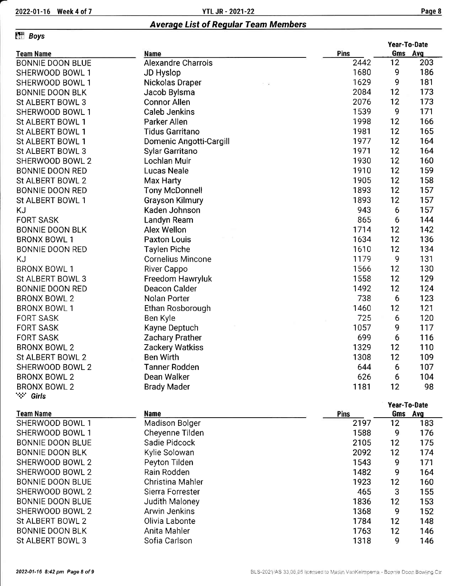### Eff<sup>1</sup> B

St ALBERT BOWL 3 BONNIE DOON RED

BRONX BOWL 2

**1999** Girls

| <b>ETT</b> Boys         |                           |      |              |     |  |
|-------------------------|---------------------------|------|--------------|-----|--|
|                         |                           |      | Year-To-Date |     |  |
| <b>Team Name</b>        | Name                      | Pins | Gms<br>Avg   |     |  |
| <b>BONNIE DOON BLUE</b> | <b>Alexandre Charrois</b> | 2442 | 12           | 203 |  |
| SHERWOOD BOWL 1         | JD Hyslop                 | 1680 | 9            | 186 |  |
| SHERWOOD BOWL 1         | Nickolas Draper<br>- 8    | 1629 | 9            | 181 |  |
| <b>BONNIE DOON BLK</b>  | Jacob Bylsma              | 2084 | 12           | 173 |  |
| St ALBERT BOWL 3        | <b>Connor Allen</b>       | 2076 | 12           | 173 |  |
| SHERWOOD BOWL 1         | Caleb Jenkins             | 1539 | 9            | 171 |  |
| St ALBERT BOWL 1        | Parker Allen              | 1998 | 12           | 166 |  |
| St ALBERT BOWL 1        | <b>Tidus Garritano</b>    | 1981 | 12           | 165 |  |
| St ALBERT BOWL 1        | Domenic Angotti-Cargill   | 1977 | 12           | 164 |  |
| St ALBERT BOWL 3        | Sylar Garritano           | 1971 | 12           | 164 |  |
| SHERWOOD BOWL 2         | Lochlan Muir              | 1930 | 12           | 160 |  |
| <b>BONNIE DOON RED</b>  | <b>Lucas Neale</b>        | 1910 | 12           | 159 |  |
| St ALBERT BOWL 2        | Max Harty                 | 1905 | 12           | 158 |  |
| <b>BONNIE DOON RED</b>  | <b>Tony McDonnell</b>     | 1893 | 12           | 157 |  |
| St ALBERT BOWL 1        | <b>Grayson Kilmury</b>    | 1893 | 12           | 157 |  |
| KJ                      | Kaden Johnson             | 943  | 6            | 157 |  |
| <b>FORT SASK</b>        | Landyn Ream               | 865  | 6            | 144 |  |
| <b>BONNIE DOON BLK</b>  | Alex Wellon               | 1714 | 12           | 142 |  |
| <b>BRONX BOWL 1</b>     | <b>Paxton Louis</b>       | 1634 | 12           | 136 |  |
| <b>BONNIE DOON RED</b>  | Taylen Piche              | 1610 | 12           | 134 |  |
| ΚJ                      | <b>Cornelius Mincone</b>  | 1179 | 9            | 131 |  |
| <b>BRONX BOWL 1</b>     | River Cappo               | 1566 | 12           | 130 |  |

| <b>BRONX BOWL 2</b> | Nolan Porter           | 738  |
|---------------------|------------------------|------|
| <b>BRONX BOWL 1</b> | Ethan Rosborough       | 1460 |
| <b>FORT SASK</b>    | Ben Kyle               | 725  |
| <b>FORT SASK</b>    | Kayne Deptuch          | 1057 |
| <b>FORT SASK</b>    | <b>Zachary Prather</b> | 699  |
| <b>BRONX BOWL 2</b> | Zackery Watkiss        | 1329 |
| St ALBERT BOWL 2    | Ben Wirth              | 1308 |
| SHERWOOD BOWL 2     | <b>Tanner Rodden</b>   | 644  |
| <b>BRONX BOWL 2</b> | Dean Walker            | 626  |

Freedom Hawryluk Deacon Calder

Brady Mader

|                      |      | Year-To-Date |     |  |
|----------------------|------|--------------|-----|--|
| <b>Name</b>          | Pins | Gms Avg      |     |  |
| Madison Bolger       | 2197 | 12           | 183 |  |
| Cheyenne Tilden      | 1588 | 9            | 176 |  |
| Sadie Pidcock        | 2105 | 12           | 175 |  |
| Kylie Solowan        | 2092 | 12           | 174 |  |
| Peyton Tilden        | 1543 | 9            | 171 |  |
| Rain Rodden          | 1482 | 9            | 164 |  |
| Christina Mahler     | 1923 | 12           | 160 |  |
| Sierra Forrester     | 465  | 3            | 155 |  |
| Judith Maloney       | 1836 | 12           | 153 |  |
| <b>Arwin Jenkins</b> | 1368 | 9            | 152 |  |
| Olivia Labonte       | 1784 | 12           | 148 |  |
| Anita Mahler         | 1763 | 12           | 146 |  |
| Sofia Carlson        | 1318 | 9            | 146 |  |
|                      |      |              |     |  |

12 <sup>129</sup>

<sup>1</sup>558 1492

1 181

12 <sup>98</sup>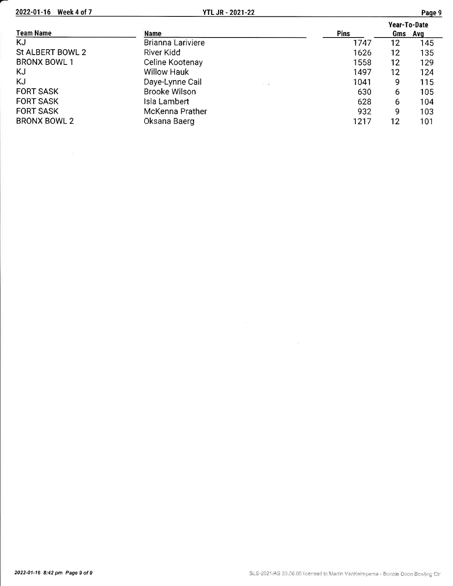2022-01-16 Week 4 of 7

|                     |                            |      | Year-To-Date |     |
|---------------------|----------------------------|------|--------------|-----|
| <b>Team Name</b>    | <b>Name</b>                | Pins | Gms          | Ava |
| KJ                  | <b>Brianna Lariviere</b>   | 1747 | 12           | 145 |
| St ALBERT BOWL 2    | River Kidd                 | 1626 | 12           | 135 |
| <b>BRONX BOWL 1</b> | Celine Kootenay            | 1558 | 12           | 129 |
| KJ                  | <b>Willow Hauk</b>         | 1497 | 12           | 124 |
| KJ                  | Daye-Lynne Cail<br>$-7.77$ | 1041 | 9            | 115 |
| <b>FORT SASK</b>    | <b>Brooke Wilson</b>       | 630  | 6            | 105 |
| <b>FORT SASK</b>    | Isla Lambert               | 628  | 6            | 104 |
| <b>FORT SASK</b>    | McKenna Prather            | 932  | 9            | 103 |
| <b>BRONX BOWL 2</b> | Oksana Baerg               | 1217 | 12           | 101 |